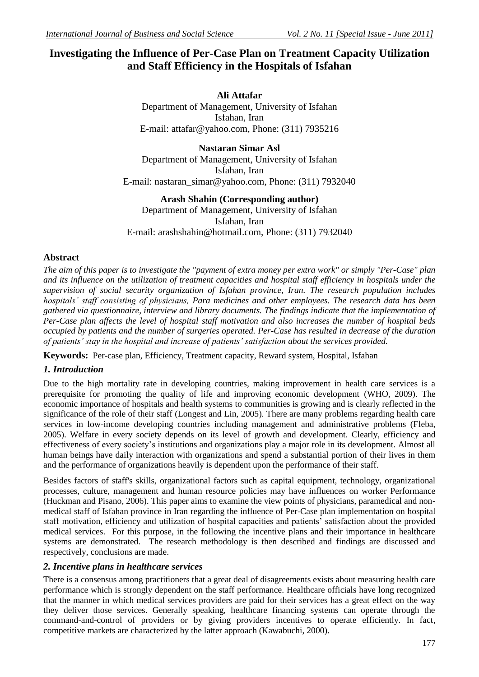# **Investigating the Influence of Per-Case Plan on Treatment Capacity Utilization and Staff Efficiency in the Hospitals of Isfahan**

**Ali Attafar** Department of Management, University of Isfahan Isfahan, Iran E-mail: attafar@yahoo.com, Phone: (311) 7935216

**Nastaran Simar Asl** Department of Management, University of Isfahan Isfahan, Iran E-mail: nastaran\_simar@yahoo.com, Phone:  $(311)$  7932040

**Arash Shahin (Corresponding author)** Department of Management, University of Isfahan Isfahan, Iran E-mail: arashshahin@hotmail.com, Phone: (311) 7932040

## **Abstract**

*The aim of this paper is to investigate the "payment of extra money per extra work" or simply "Per-Case" plan and its influence on the utilization of treatment capacities and hospital staff efficiency in hospitals under the supervision of social security organization of Isfahan province, Iran. The research population includes hospitals' staff consisting of physicians, Para medicines and other employees. The research data has been gathered via questionnaire, interview and library documents. The findings indicate that the implementation of Per-Case plan affects the level of hospital staff motivation and also increases the number of hospital beds occupied by patients and the number of surgeries operated. Per-Case has resulted in decrease of the duration of patients' stay in the hospital and increase of patients' satisfaction about the services provided.*

**Keywords:** Per-case plan, Efficiency, Treatment capacity, Reward system, Hospital, Isfahan

# *1. Introduction*

Due to the high mortality rate in developing countries, making improvement in health care services is a prerequisite for promoting the quality of life and improving economic development (WHO, 2009). The economic importance of hospitals and health systems to communities is growing and is clearly reflected in the significance of the role of their staff (Longest and Lin, 2005). There are many problems regarding health care services in low-income developing countries including management and administrative problems (Fleba, 2005). Welfare in every society depends on its level of growth and development. Clearly, efficiency and effectiveness of every society's institutions and organizations play a major role in its development. Almost all human beings have daily interaction with organizations and spend a substantial portion of their lives in them and the performance of organizations heavily is dependent upon the performance of their staff.

Besides factors of staff's skills, organizational factors such as capital equipment, technology, organizational processes, culture, management and human resource policies may have influences on worker Performance (Huckman and Pisano, 2006). This paper aims to examine the view points of physicians, paramedical and nonmedical staff of Isfahan province in Iran regarding the influence of Per-Case plan implementation on hospital staff motivation, efficiency and utilization of hospital capacities and patients' satisfaction about the provided medical services. For this purpose, in the following the incentive plans and their importance in healthcare systems are demonstrated. The research methodology is then described and findings are discussed and respectively, conclusions are made.

## *2. Incentive plans in healthcare services*

There is a consensus among practitioners that a great deal of disagreements exists about measuring health care performance which is strongly dependent on the staff performance. Healthcare officials have long recognized that the manner in which medical services providers are paid for their services has a great effect on the way they deliver those services. Generally speaking, healthcare financing systems can operate through the command-and-control of providers or by giving providers incentives to operate efficiently. In fact, competitive markets are characterized by the latter approach (Kawabuchi, 2000).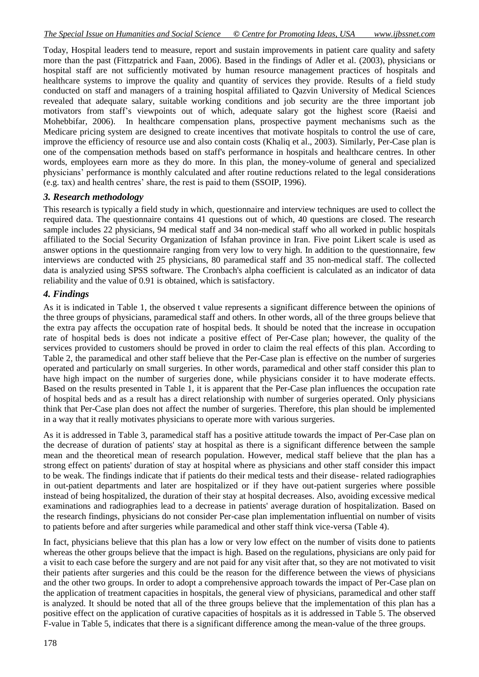Today, Hospital leaders tend to measure, report and sustain improvements in patient care quality and safety more than the past (Fittzpatrick and Faan, 2006). Based in the findings of Adler et al. (2003), physicians or hospital staff are not sufficiently motivated by human resource management practices of hospitals and healthcare systems to improve the quality and quantity of services they provide. Results of a field study conducted on staff and managers of a training hospital affiliated to Qazvin University of Medical Sciences revealed that adequate salary, suitable working conditions and job security are the three important job motivators from staff's viewpoints out of which, adequate salary got the highest score (Raeisi and Mohebbifar, 2006). In healthcare compensation plans, prospective payment mechanisms such as the Medicare pricing system are designed to create incentives that motivate hospitals to control the use of care, improve the efficiency of resource use and also contain costs (Khaliq et al., 2003). Similarly, Per-Case plan is one of the compensation methods based on staff's performance in hospitals and healthcare centres. In other words, employees earn more as they do more. In this plan, the money-volume of general and specialized physicians' performance is monthly calculated and after routine reductions related to the legal considerations (e.g. tax) and health centres' share, the rest is paid to them (SSOIP, 1996).

#### *3. Research methodology*

This research is typically a field study in which, questionnaire and interview techniques are used to collect the required data. The questionnaire contains 41 questions out of which, 40 questions are closed. The research sample includes 22 physicians, 94 medical staff and 34 non-medical staff who all worked in public hospitals affiliated to the Social Security Organization of Isfahan province in Iran. Five point Likert scale is used as answer options in the questionnaire ranging from very low to very high. In addition to the questionnaire, few interviews are conducted with 25 physicians, 80 paramedical staff and 35 non-medical staff. The collected data is analyzied using SPSS software. The Cronbach's alpha coefficient is calculated as an indicator of data reliability and the value of 0.91 is obtained, which is satisfactory.

#### *4. Findings*

As it is indicated in Table 1, the observed t value represents a significant difference between the opinions of the three groups of physicians, paramedical staff and others. In other words, all of the three groups believe that the extra pay affects the occupation rate of hospital beds. It should be noted that the increase in occupation rate of hospital beds is does not indicate a positive effect of Per-Case plan; however, the quality of the services provided to customers should be proved in order to claim the real effects of this plan. According to Table 2, the paramedical and other staff believe that the Per-Case plan is effective on the number of surgeries operated and particularly on small surgeries. In other words, paramedical and other staff consider this plan to have high impact on the number of surgeries done, while physicians consider it to have moderate effects. Based on the results presented in Table 1, it is apparent that the Per-Case plan influences the occupation rate of hospital beds and as a result has a direct relationship with number of surgeries operated. Only physicians think that Per-Case plan does not affect the number of surgeries. Therefore, this plan should be implemented in a way that it really motivates physicians to operate more with various surgeries.

As it is addressed in Table 3, paramedical staff has a positive attitude towards the impact of Per-Case plan on the decrease of duration of patients' stay at hospital as there is a significant difference between the sample mean and the theoretical mean of research population. However, medical staff believe that the plan has a strong effect on patients' duration of stay at hospital where as physicians and other staff consider this impact to be weak. The findings indicate that if patients do their medical tests and their disease- related radiographies in out-patient departments and later are hospitalized or if they have out-patient surgeries where possible instead of being hospitalized, the duration of their stay at hospital decreases. Also, avoiding excessive medical examinations and radiographies lead to a decrease in patients' average duration of hospitalization. Based on the research findings, physicians do not consider Per-case plan implementation influential on number of visits to patients before and after surgeries while paramedical and other staff think vice-versa (Table 4).

In fact, physicians believe that this plan has a low or very low effect on the number of visits done to patients whereas the other groups believe that the impact is high. Based on the regulations, physicians are only paid for a visit to each case before the surgery and are not paid for any visit after that, so they are not motivated to visit their patients after surgeries and this could be the reason for the difference between the views of physicians and the other two groups. In order to adopt a comprehensive approach towards the impact of Per-Case plan on the application of treatment capacities in hospitals, the general view of physicians, paramedical and other staff is analyzed. It should be noted that all of the three groups believe that the implementation of this plan has a positive effect on the application of curative capacities of hospitals as it is addressed in Table 5. The observed F-value in Table 5, indicates that there is a significant difference among the mean-value of the three groups.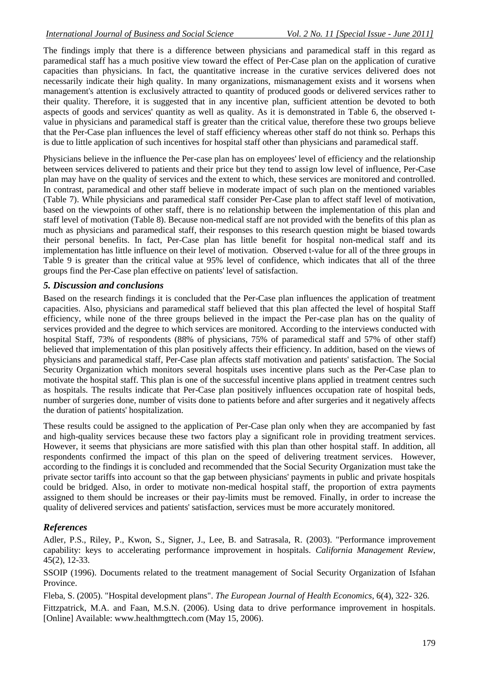The findings imply that there is a difference between physicians and paramedical staff in this regard as paramedical staff has a much positive view toward the effect of Per-Case plan on the application of curative capacities than physicians. In fact, the quantitative increase in the curative services delivered does not necessarily indicate their high quality. In many organizations, mismanagement exists and it worsens when management's attention is exclusively attracted to quantity of produced goods or delivered services rather to their quality. Therefore, it is suggested that in any incentive plan, sufficient attention be devoted to both aspects of goods and services' quantity as well as quality. As it is demonstrated in Table 6, the observed tvalue in physicians and paramedical staff is greater than the critical value, therefore these two groups believe that the Per-Case plan influences the level of staff efficiency whereas other staff do not think so. Perhaps this is due to little application of such incentives for hospital staff other than physicians and paramedical staff.

Physicians believe in the influence the Per-case plan has on employees' level of efficiency and the relationship between services delivered to patients and their price but they tend to assign low level of influence, Per-Case plan may have on the quality of services and the extent to which, these services are monitored and controlled. In contrast, paramedical and other staff believe in moderate impact of such plan on the mentioned variables (Table 7). While physicians and paramedical staff consider Per-Case plan to affect staff level of motivation, based on the viewpoints of other staff, there is no relationship between the implementation of this plan and staff level of motivation (Table 8). Because non-medical staff are not provided with the benefits of this plan as much as physicians and paramedical staff, their responses to this research question might be biased towards their personal benefits. In fact, Per-Case plan has little benefit for hospital non-medical staff and its implementation has little influence on their level of motivation. Observed t-value for all of the three groups in Table 9 is greater than the critical value at 95% level of confidence, which indicates that all of the three groups find the Per-Case plan effective on patients' level of satisfaction.

## *5. Discussion and conclusions*

Based on the research findings it is concluded that the Per-Case plan influences the application of treatment capacities. Also, physicians and paramedical staff believed that this plan affected the level of hospital Staff efficiency, while none of the three groups believed in the impact the Per-case plan has on the quality of services provided and the degree to which services are monitored. According to the interviews conducted with hospital Staff, 73% of respondents (88% of physicians, 75% of paramedical staff and 57% of other staff) believed that implementation of this plan positively affects their efficiency. In addition, based on the views of physicians and paramedical staff, Per-Case plan affects staff motivation and patients' satisfaction. The Social Security Organization which monitors several hospitals uses incentive plans such as the Per-Case plan to motivate the hospital staff. This plan is one of the successful incentive plans applied in treatment centres such as hospitals. The results indicate that Per-Case plan positively influences occupation rate of hospital beds, number of surgeries done, number of visits done to patients before and after surgeries and it negatively affects the duration of patients' hospitalization.

These results could be assigned to the application of Per-Case plan only when they are accompanied by fast and high-quality services because these two factors play a significant role in providing treatment services. However, it seems that physicians are more satisfied with this plan than other hospital staff. In addition, all respondents confirmed the impact of this plan on the speed of delivering treatment services. However, according to the findings it is concluded and recommended that the Social Security Organization must take the private sector tariffs into account so that the gap between physicians' payments in public and private hospitals could be bridged. Also, in order to motivate non-medical hospital staff, the proportion of extra payments assigned to them should be increases or their pay-limits must be removed. Finally, in order to increase the quality of delivered services and patients' satisfaction, services must be more accurately monitored.

# *References*

Adler, P.S., Riley, P., Kwon, S., Signer, J., Lee, B. and Satrasala, R. (2003). "Performance improvement capability: keys to accelerating performance improvement in hospitals. *California Management Review*, 45(2), 12-33.

SSOIP (1996). Documents related to the treatment management of Social Security Organization of Isfahan Province.

Fleba, S. (2005). "Hospital development plans". *The European Journal of Health Economics*, 6(4), 322- 326. Fittzpatrick, M.A. and Faan, M.S.N. (2006). Using data to drive performance improvement in hospitals. [Online] Available: www.healthmgttech.com (May 15, 2006).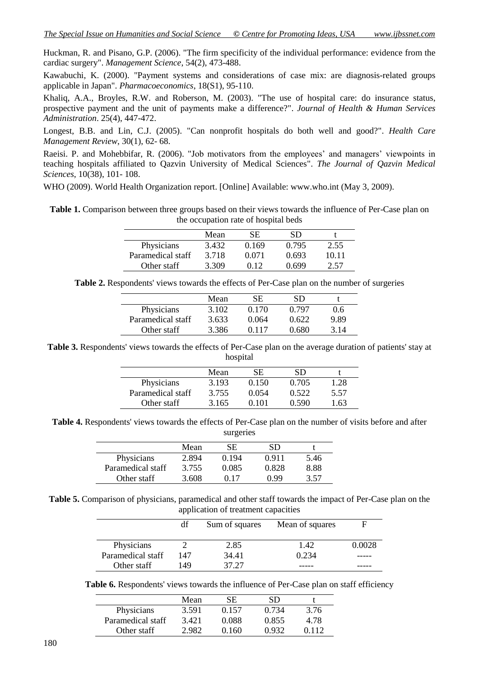Huckman, R. and Pisano, G.P. (2006). "The firm specificity of the individual performance: evidence from the cardiac surgery". *Management Science*, 54(2), 473-488.

Kawabuchi, K. (2000). "Payment systems and considerations of case mix: are diagnosis-related groups applicable in Japan". *Pharmacoeconomics*, 18(S1), 95-110.

Khaliq, A.A., Broyles, R.W. and Roberson, M. (2003). "The use of hospital care: do insurance status, prospective payment and the unit of payments make a difference?". *Journal of Health & Human Services Administration*. 25(4), 447-472.

Longest, B.B. and Lin, C.J. (2005). "Can nonprofit hospitals do both well and good?". *Health Care Management Review*, 30(1), 62- 68.

Raeisi. P. and Mohebbifar, R. (2006). "Job motivators from the employees' and managers' viewpoints in teaching hospitals affiliated to Qazvin University of Medical Sciences". *The Journal of Qazvin Medical Sciences*, 10(38), 101- 108.

WHO (2009). World Health Organization report. [Online] Available: www.who.int (May 3, 2009).

**Table 1.** Comparison between three groups based on their views towards the influence of Per-Case plan on the occupation rate of hospital beds

|                   | Mean  | SE    | SD    |       |
|-------------------|-------|-------|-------|-------|
| Physicians        | 3.432 | 0.169 | 0.795 | 2.55  |
| Paramedical staff | 3.718 | 0.071 | 0.693 | 10.11 |
| Other staff       | 3.309 | 0.12  | በ 699 | 2.57  |

**Table 2.** Respondents' views towards the effects of Per-Case plan on the number of surgeries

|                   | Mean  | SE.   | SD    |      |
|-------------------|-------|-------|-------|------|
| Physicians        | 3.102 | 0.170 | 0.797 | 0.6  |
| Paramedical staff | 3.633 | 0.064 | 0.622 | 989  |
| Other staff       | 3.386 | 0.117 | 0.680 | 3 14 |

**Table 3.** Respondents' views towards the effects of Per-Case plan on the average duration of patients' stay at hospital

|                   | Mean  | SE.   | SD           |      |
|-------------------|-------|-------|--------------|------|
| Physicians        | 3.193 | 0.150 | 0.705        | 1.28 |
| Paramedical staff | 3.755 | 0.054 | 0.522        | 5.57 |
| Other staff       | 3.165 | በ 1በ1 | <u>በ 590</u> | .63  |

**Table 4.** Respondents' views towards the effects of Per-Case plan on the number of visits before and after surgeries

|                   | Mean  | SE.   | SD    |      |
|-------------------|-------|-------|-------|------|
| Physicians        | 2.894 | 0.194 | 0.911 | 5.46 |
| Paramedical staff | 3.755 | 0.085 | 0.828 | 8.88 |
| Other staff       | 3.608 | 017   | N 99  | 3.57 |

**Table 5.** Comparison of physicians, paramedical and other staff towards the impact of Per-Case plan on the application of treatment capacities

|                   | df  | Sum of squares | Mean of squares | F      |
|-------------------|-----|----------------|-----------------|--------|
| Physicians        |     | 2.85           | 1.42            | 0.0028 |
| Paramedical staff | 147 | 34.41          | 0.234           |        |
| Other staff       | 149 | 37.27          |                 |        |

Table 6. Respondents' views towards the influence of Per-Case plan on staff efficiency

|                   | Mean  | SE.   | SD    |       |
|-------------------|-------|-------|-------|-------|
| Physicians        | 3.591 | 0.157 | 0.734 | 3.76  |
| Paramedical staff | 3.421 | 0.088 | 0.855 | 4.78  |
| Other staff       | 2.982 | 0.160 | 0.932 | 0.112 |